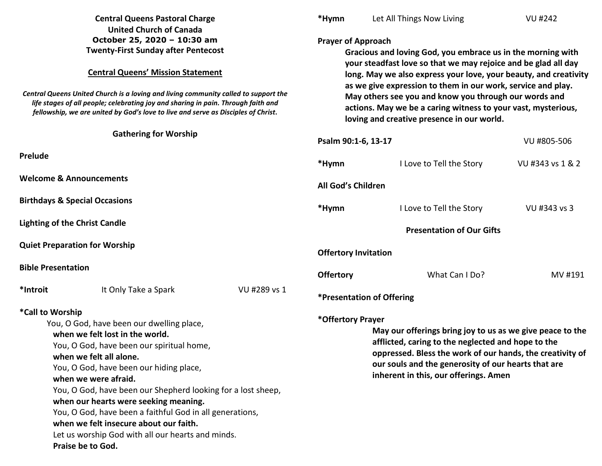| <b>Central Queens Pastoral Charge</b>                                                                                                                                                                                                                                                                                                                                                                                                                                                                                                |              | *Hymn                                                                                                                                                                                                                                                                                                                                                                                                                    | Let All Things Now Living        | <b>VU #242</b>   |  |
|--------------------------------------------------------------------------------------------------------------------------------------------------------------------------------------------------------------------------------------------------------------------------------------------------------------------------------------------------------------------------------------------------------------------------------------------------------------------------------------------------------------------------------------|--------------|--------------------------------------------------------------------------------------------------------------------------------------------------------------------------------------------------------------------------------------------------------------------------------------------------------------------------------------------------------------------------------------------------------------------------|----------------------------------|------------------|--|
| <b>United Church of Canada</b><br>October 25, 2020 - 10:30 am<br><b>Twenty-First Sunday after Pentecost</b><br><b>Central Queens' Mission Statement</b><br>Central Queens United Church is a loving and living community called to support the<br>life stages of all people; celebrating joy and sharing in pain. Through faith and                                                                                                                                                                                                  |              | <b>Prayer of Approach</b><br>Gracious and loving God, you embrace us in the morning with<br>your steadfast love so that we may rejoice and be glad all day<br>long. May we also express your love, your beauty, and creativity<br>as we give expression to them in our work, service and play.<br>May others see you and know you through our words and<br>actions. May we be a caring witness to your vast, mysterious, |                                  |                  |  |
| fellowship, we are united by God's love to live and serve as Disciples of Christ.                                                                                                                                                                                                                                                                                                                                                                                                                                                    |              | loving and creative presence in our world.                                                                                                                                                                                                                                                                                                                                                                               |                                  |                  |  |
| <b>Gathering for Worship</b>                                                                                                                                                                                                                                                                                                                                                                                                                                                                                                         |              | Psalm 90:1-6, 13-17<br>VU #805-506                                                                                                                                                                                                                                                                                                                                                                                       |                                  |                  |  |
| Prelude                                                                                                                                                                                                                                                                                                                                                                                                                                                                                                                              |              | *Hymn                                                                                                                                                                                                                                                                                                                                                                                                                    | I Love to Tell the Story         | VU #343 vs 1 & 2 |  |
| <b>Welcome &amp; Announcements</b>                                                                                                                                                                                                                                                                                                                                                                                                                                                                                                   |              | All God's Children                                                                                                                                                                                                                                                                                                                                                                                                       |                                  |                  |  |
| <b>Birthdays &amp; Special Occasions</b>                                                                                                                                                                                                                                                                                                                                                                                                                                                                                             |              | *Hymn                                                                                                                                                                                                                                                                                                                                                                                                                    | I Love to Tell the Story         | VU #343 vs 3     |  |
| <b>Lighting of the Christ Candle</b>                                                                                                                                                                                                                                                                                                                                                                                                                                                                                                 |              | <b>Presentation of Our Gifts</b>                                                                                                                                                                                                                                                                                                                                                                                         |                                  |                  |  |
| <b>Quiet Preparation for Worship</b>                                                                                                                                                                                                                                                                                                                                                                                                                                                                                                 |              | <b>Offertory Invitation</b>                                                                                                                                                                                                                                                                                                                                                                                              |                                  |                  |  |
| <b>Bible Presentation</b>                                                                                                                                                                                                                                                                                                                                                                                                                                                                                                            |              | <b>Offertory</b>                                                                                                                                                                                                                                                                                                                                                                                                         | What Can I Do?                   | MV #191          |  |
| *Introit<br>It Only Take a Spark                                                                                                                                                                                                                                                                                                                                                                                                                                                                                                     | VU #289 vs 1 |                                                                                                                                                                                                                                                                                                                                                                                                                          | <b>*Presentation of Offering</b> |                  |  |
| *Call to Worship<br>You, O God, have been our dwelling place,<br>when we felt lost in the world.<br>You, O God, have been our spiritual home,<br>when we felt all alone.<br>You, O God, have been our hiding place,<br>when we were afraid.<br>You, O God, have been our Shepherd looking for a lost sheep,<br>when our hearts were seeking meaning.<br>You, O God, have been a faithful God in all generations,<br>when we felt insecure about our faith.<br>Let us worship God with all our hearts and minds.<br>Praise be to God. |              | *Offertory Prayer<br>May our offerings bring joy to us as we give peace to the<br>afflicted, caring to the neglected and hope to the<br>oppressed. Bless the work of our hands, the creativity of<br>our souls and the generosity of our hearts that are<br>inherent in this, our offerings. Amen                                                                                                                        |                                  |                  |  |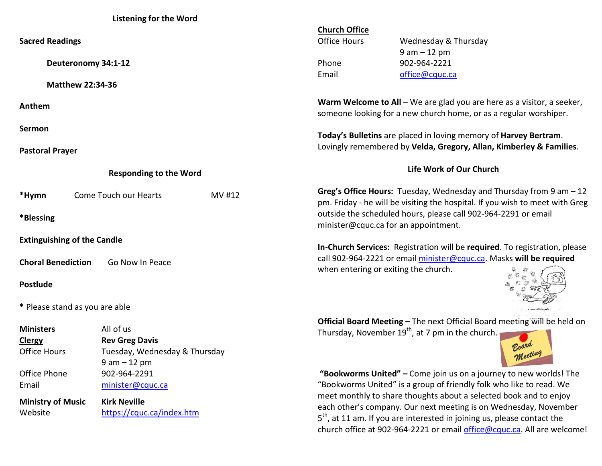## **Listening for the Word**

|                                                 |                           |        | <b>Church Office</b>                                                                                                                                                                                               |                                                                            |  |  |
|-------------------------------------------------|---------------------------|--------|--------------------------------------------------------------------------------------------------------------------------------------------------------------------------------------------------------------------|----------------------------------------------------------------------------|--|--|
| <b>Sacred Readings</b>                          |                           |        | <b>Office Hours</b>                                                                                                                                                                                                | Wednesday & Thursday                                                       |  |  |
|                                                 |                           |        |                                                                                                                                                                                                                    | $9 am - 12 pm$                                                             |  |  |
| Deuteronomy 34:1-12                             |                           |        | Phone                                                                                                                                                                                                              | 902-964-2221                                                               |  |  |
|                                                 |                           |        | Email                                                                                                                                                                                                              | office@cquc.ca                                                             |  |  |
| <b>Matthew 22:34-36</b>                         |                           |        |                                                                                                                                                                                                                    |                                                                            |  |  |
| Anthem                                          |                           |        | <b>Warm Welcome to All</b> – We are glad you are here as a visitor, a seeker,                                                                                                                                      |                                                                            |  |  |
|                                                 |                           |        | someone looking for a new church home, or as a regular worshiper.                                                                                                                                                  |                                                                            |  |  |
| Sermon                                          |                           |        |                                                                                                                                                                                                                    |                                                                            |  |  |
|                                                 |                           |        | Today's Bulletins are placed in loving memory of Harvey Bertram.                                                                                                                                                   |                                                                            |  |  |
| <b>Pastoral Prayer</b>                          |                           |        | Lovingly remembered by Velda, Gregory, Allan, Kimberley & Families.                                                                                                                                                |                                                                            |  |  |
|                                                 |                           |        |                                                                                                                                                                                                                    |                                                                            |  |  |
| <b>Responding to the Word</b>                   |                           |        | Life Work of Our Church                                                                                                                                                                                            |                                                                            |  |  |
| *Hymn                                           | Come Touch our Hearts     | MV #12 | Greg's Office Hours: Tuesday, Wednesday and Thursday from 9 am - 12<br>pm. Friday - he will be visiting the hospital. If you wish to meet with Greg                                                                |                                                                            |  |  |
| *Blessing                                       |                           |        | outside the scheduled hours, please call 902-964-2291 or email<br>minister@cquc.ca for an appointment.                                                                                                             |                                                                            |  |  |
| <b>Extinguishing of the Candle</b>              |                           |        |                                                                                                                                                                                                                    |                                                                            |  |  |
|                                                 |                           |        |                                                                                                                                                                                                                    | In-Church Services: Registration will be required. To registration, please |  |  |
| <b>Choral Benediction</b><br>Go Now In Peace    |                           |        | call 902-964-2221 or email minister@cquc.ca. Masks will be required<br>when entering or exiting the church.                                                                                                        |                                                                            |  |  |
| <b>Postlude</b>                                 |                           |        |                                                                                                                                                                                                                    |                                                                            |  |  |
| * Please stand as you are able                  |                           |        |                                                                                                                                                                                                                    |                                                                            |  |  |
|                                                 |                           |        |                                                                                                                                                                                                                    | Official Board Meeting - The next Official Board meeting will be held on   |  |  |
| <b>Ministers</b>                                | All of us                 |        |                                                                                                                                                                                                                    | Thursday, November 19 <sup>th</sup> , at 7 pm in the church.               |  |  |
| <b>Clergy</b>                                   | <b>Rev Greg Davis</b>     |        |                                                                                                                                                                                                                    |                                                                            |  |  |
| Office Hours<br>Tuesday, Wednesday & Thursday   |                           |        |                                                                                                                                                                                                                    |                                                                            |  |  |
|                                                 | $9 am - 12 pm$            |        |                                                                                                                                                                                                                    |                                                                            |  |  |
| Office Phone                                    | 902-964-2291              |        | "Bookworms United" - Come join us on a journey to new worlds! The                                                                                                                                                  |                                                                            |  |  |
| Email                                           | minister@cquc.ca          |        | "Bookworms United" is a group of friendly folk who like to read. We                                                                                                                                                |                                                                            |  |  |
| <b>Kirk Neville</b><br><b>Ministry of Music</b> |                           |        | meet monthly to share thoughts about a selected book and to enjoy<br>each other's company. Our next meeting is on Wednesday, November<br>$5th$ , at 11 am. If you are interested in joining us, please contact the |                                                                            |  |  |
| Website                                         | https://cquc.ca/index.htm |        |                                                                                                                                                                                                                    |                                                                            |  |  |

church office at 902-964-2221 or email *office@cquc.ca*. All are welcome!